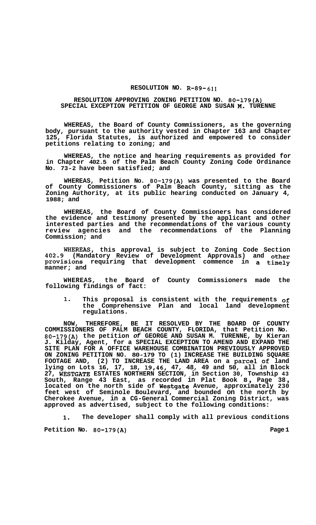## **RESOLUTION NO. R-89- 611**

## **RESOLUTION APPROVING ZONING PETITION NO. 80-179(A) SPECIAL EXCEPTION PETITION OF GEORGE AND SUSAN M. TURENNE**

**WHEREAS, the Board of County Commissioners, as the governing body, pursuant to the authority vested in Chapter 163 and Chapter 125, Florida Statutes, is authorized and empowered to consider petitions relating to zoning; and** 

**WHEREAS, the notice and hearing requirements as provided for in Chapter 402.5 of the Palm Beach County Zoning Code Ordinance No. 73-2 have been satisfied; and** 

**WHEREAS, Petition No. 80-179(A) was presented to the Board of County Commissioners of Palm Beach County, sitting as the Zoning Authority, at its public hearing conducted on January 4, 1988; and** 

**WHEREAS, the Board of County Commissioners has considered the evidence and testimony presented by the applicant and other interested parties and the recommendations of the various county**  the recommendations of the Planning **Commission; and** 

**WHEREAS, this approval is subject to Zoning Code Section 402.9 (Mandatory Review of Development Approvals) and other provisions requiring that development commence in a timely manner; and** 

**WHEREAS, the Board of County Commissioners made the following findings of fact:** 

**1. This proposal is consistent with the requirements of the Comprehensive Plan and local land development regulations.** 

**NOW, THEREFORE, BE IT RESOLVED BY THE BOARD OF COUNTY COMMISSIONERS OF PALM BEACH COUNTY, FLORIDA, that Petition No. 80-179(A) the petition** *of* **GEORGE AND SUSAN M. TURENNE, by Kieran J. Kilday, Agent, for a SPECIAL EXCEPTION TO AMEND AND EXPAND THE SITE PLAN FOR A OFFICE WAREHOUSE COMBINATION PREVIOUSLY APPROVED ON ZONING PETITION NO. 80-179 TO (1) INCREASE THE BUILDING SQUARE FOOTAGE AND, (2) TO INCREASE THE LAND AREA on a parcel Of land lying on Lots 16, 17, 18, 19,46, 47, 48, 49 and 50, all in Block 27, WESTGATE ESTATES NORTHERN SECTION, in Section 30, Township 43 South, Range 43 East, as recorded in Plat Book 8** , **Page 38** , **located on the north side of Westgate Avenue, approximately 230 feet west of Seminole Boulevard, and bounded on the north by Cherokee Avenue, in a CG-General Commercial Zoning District, was approved as advertised, subject to the following conditions:** 

**1. The developer shall comply with all previous conditions** 

Petition No. 80-179(A) **Petition No. 80-179**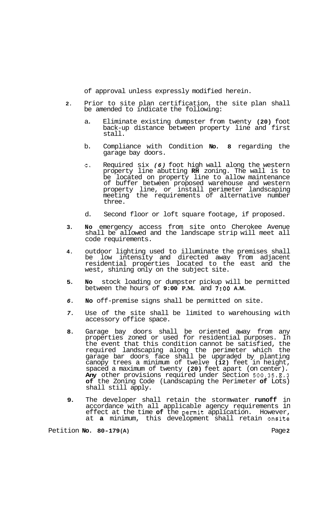of approval unless expressly modified herein.

- **2.** Prior to site plan certification, the site plan shall be amended to indicate the following:
	- a. Eliminate existing dumpster from twenty **(20)** foot back-up distance between property line and first stall.
	- b. Compliance with Condition **No. 8** regarding the garage bay doors.
	- c. Required six *(6)* foot high wall along the western property line abutting **RH** zoning. The wall is to be located on property line to allow maintenance of buffer between proposed warehouse and western property line, or install perimeter landscaping meeting the requirements of alternative number three.
	- d. Second floor or loft square footage, if proposed.
- **3. No** emergency access from site onto Cherokee Avenue shall be allowed and the landscape strip will meet all code requirements.
- **4.** outdoor lighting used to illuminate the premises shall be low intensity and directed away from adjacent residential properties located to the east and the west, shining only on the subject site.
- **5. No** stock loading or dumpster pickup will be permitted between the hours of **9:00 P.M.** and **7:OO A.M.**
- *6.* **No** off-premise signs shall be permitted on site.
- *7.* Use of the site shall be limited to warehousing with accessory office space.
- **8.** Garage bay doors shall be oriented away from any properties zoned or used for residential purposes. In the event that this condition cannot be satisfied, the required landscaping along the perimeter which the garage bar doors face shall be upgraded by planting canopy trees a minimum of twelve **(12)** feet in height, spaced a maximum of twenty **(20)** feet apart (on center). **Any** other provisions required under Section **500.35.E.3 of** the Zoning Code (Landscaping the Perimeter **of** Lots) shall still apply.
- **9.** The developer shall retain the stormwater **runoff** in accordance with all applicable agency requirements in effect at the time **of** the permit application. However, at **a** minimum, this development shall retain onsite

Petition **No. 80-179 (A)** Page **2**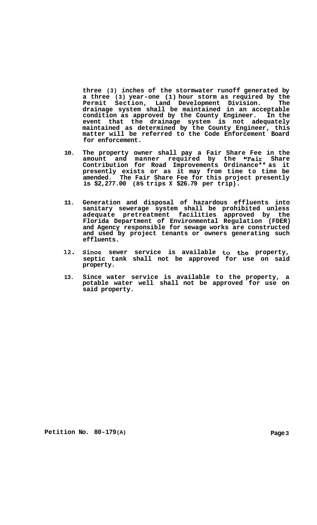**three (3) inches of the stormwater runoff generated by a three (3) year-one (1) hour storm as required by the**  Permit Section, Land Development Division. **drainage system shall be maintained in an acceptable condition as approved by the County Engineer. In the event that the drainage system is not adequately maintained as determined by the County Engineer, this matter will be referred to the Code Enforcement Board for enforcement.** 

- **10. The property owner shall pay a Fair Share Fee in the amount and manner required by the "Fair Share Contribution for Road Improvements Ordinance\*\* as it presently exists or as it may from time to time be amended. The Fair Share Fee for this project presently is \$2,277.00 (85 trips X \$26.79 per trip).**
- **11. Generation and disposal of hazardous effluents into sanitary sewerage system shall be prohibited unless adequate pretreatment facilities approved by the Florida Department of Environmental Regulation (FDER) and Agency responsible for sewage works are constructed and used by project tenants or owners generating such effluents.**
- **12. Since sewer service is available to the property, septic tank shall not be approved for use on said property.**
- **13. Since water service is available to the property, a potable water well shall not be approved for use on said property.**

**Petition No. 80-179(A) Page 3**